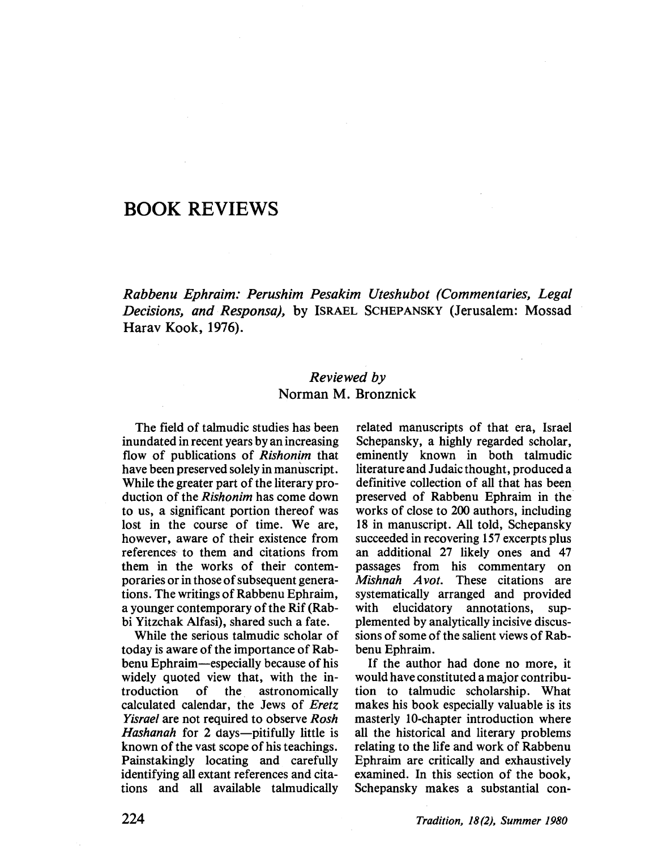# BOOK REVIEWS

Rabbenu Ephraim: Perushim Pesakim Uteshubot (Commentaries, Legal Decisions, and Responsa), by ISRAEL SCHEPANSKY (Jerusalem: Mossad Harav Kook, 1976).

## Reviewed by Norman M. Bronznick

The field of talmudic studies has been inundated in recent years by an increasing flow of publications of Rishonim that have been preserved solely in manùscript. While the greater part of the literary production of the Rishonim has come down to us, a significant portion thereof was lost in the course of time. We are, however, aware of their existence from references to them and citations from them in the works of their contemporaries or in those of subsequent generations. The writings of Rabbenu Ephraim, a younger contemporary of the Rif (Rabbi Yitzchak Alfasi), shared such a fate.

While the serious talmudic scholar of today is aware of the importance of Rabbenu Ephraim-especially because of his widely quoted view that, with the introduction of the astronomically calculated calendar, the Jews of Eretz Yisrael are not required to observe Rosh Hashanah for 2 days—pitifully little is known of the vast scope of his teachings. Painstakingly locating and carefully identifying all extant references and citations and all available talmudically

related manuscripts of that era, Israel Schepansky, a highly regarded scholar, eminently known in both talmudic literature and Judaic thought, produced a definitive collection of all that has been preserved of Rabbenu Ephraim in the works of close to 200 authors, including 18 in manuscript. All told, Schepansky succeeded in recovering 157 excerpts plus an additional 27 likely ones and 47 passages from his commentary on Mishnah Avot. These citations are systematically arranged and provided with elucidatory annotations, supplemented by analytically incisive discussions of some of the salient views of Rabbenu Ephraim.

If the author had done no more, it would have constituted a major contribution to talmudic scholarship. What makes his book especially valuable is its masterly lO-chapter introduction where all the historical and literary problems relating to the life and work of Rabbenu Ephraim are critically and exhaustively examined. In this section of the book, Schepansky makes a substantial con-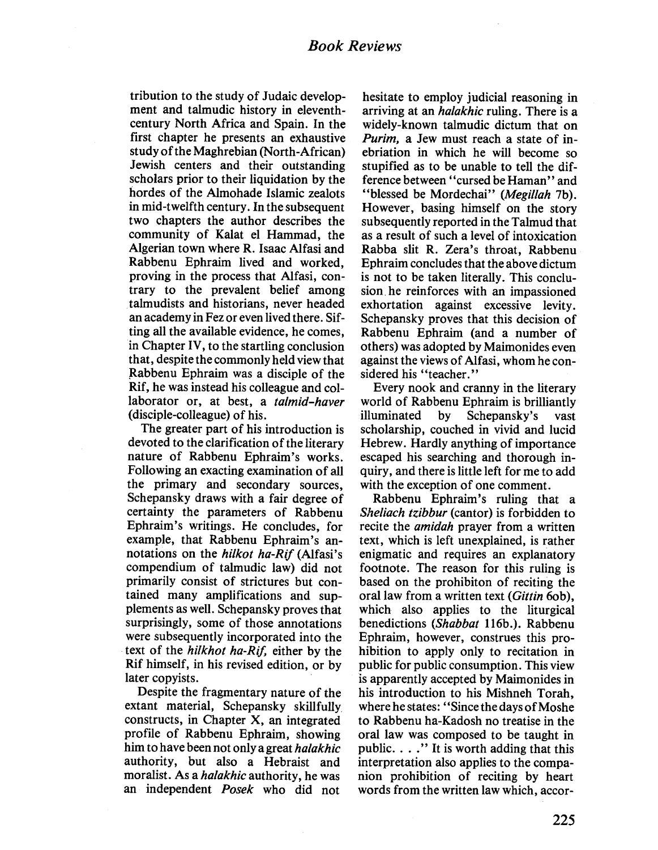tribution to the study of Judaic development and talmudic history in eleventhcentury North Africa and Spain. In the first chapter he presents an exhaustive study of the Maghrebian (North-African) Jewish centers and their outstanding scholars prior to their liquidation by the hordes of the Almohade Islamic zealots in mid-twelfth century. In the subsequent two chapters the author describes the community of Kalat el Hammad, the Algerian town where R. Isaac Alfasi and Rabbenu Ephraim lived and worked, proving in the process that Alfasi, contrary to the prevalent belief among talmudists and historians, never headed an academy in Fez or even lived there. Sifting all the available evidence, he comes, in Chapter IV, to the startling conclusion that, despite the commonly held view that Rabbenu Ephraim was a disciple of the Rif, he was instead his colleague and collaborator or, at best, a talmid-haver (disciple-colleague) of his.

The greater part of his introduction is devoted to the clarification of the literary nature of Rabbenu Ephraim's works. Following an exacting examination of all the primary and secondary sources, Schepansky draws with a fair degree of certainty the parameters of Rabbenu Ephraim's writings. He concludes, for example, that Rabbenu Ephraim's annotations on the hilkot ha-Rif (Alfasi's compendium of talmudic law) did not primarily consist of strictures but contained many amplifications and supplements as well. Schepansky proves that surprisingly, some of those annotations were subsequently incorporated into the text of the hilkhot ha-Rif, either by the Rif himself, in his revised edition, or by later copyists.

Despite the fragmentary nature of the extant material, Schepansky skilfully constructs, in Chapter X, an integrated profile of Rabbenu Ephraim, showing him to have been not only a great *halakhic* authority, but also a Hebraist and moralist. As a *halakhic* authority, he was an independent *Posek* who did not

hesitate to employ judicial reasoning in arriving at an *halakhic* ruling. There is a widely-known talmudic dictum that on Purim, a Jew must reach a state of inebriation in which he wil become so stupified as to be unable to tell the difference between' 'cursed be Haman" and "blessed be Mordechai" (Megillah 7b). However, basing himself on the story subsequently reported in the Talmud that as a result of such a level of intoxication Rabba slit R. Zera's throat, Rabbenu Ephraim concludes that the above dictum is not to be taken literally. This conclusion. he reinforces with an impassioned exhortation against excessive levity. Schepansky proves that this decision of Rabbenu Ephraim (and a number of others) was adopted by Maimonides even against the views of Alfasi, whom he considered his "teacher."

Every nook and cranny in the literary world of Rabbenu Ephraim is briliantly iluminated by Schepansky's vast scholarship, couched in vivid and lucid Hebrew. Hardly anything of importance escaped his searching and thorough inquiry, and there is little left for me to add with the exception of one comment.

Rabbenu Ephraim's ruling that a Sheliach tzibbur (cantor) is forbidden to recite the *amidah* prayer from a written text, which is left unexplained, is rather enigmatic and requires an explanatory footnote. The reason for this ruling is based on the prohibiton of reciting the oral law from a written text (Gittin 60b), which also applies to the liturgical benedictions (Shabbat 116b.). Rabbenu Ephraim, however, construes this prohibition to apply only to recitation in public for public consumption. This view is apparently accepted by Maimonides in his introduction to his Mishneh Torah, where he states: "Since the days of Moshe to Rabbenu ha-Kadosh no treatise in the oral law was composed to be taught in public. . . ." It is worth adding that this interpretation also applies to the companion prohibition of reciting by heart words from the written law which, accor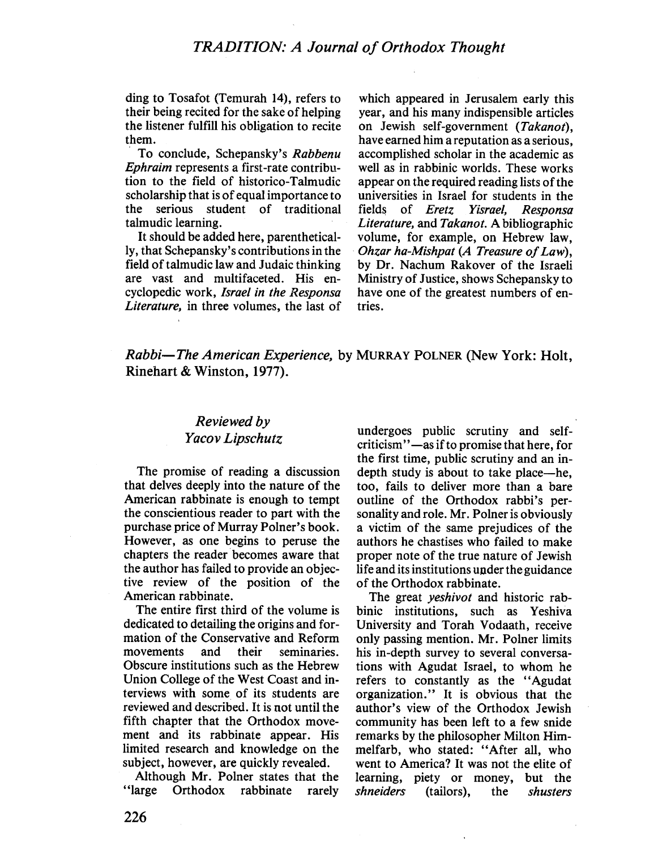ding to Tosafot (Temurah 14), refers to their being recited for the sake of helping the listener fulfill his obligation to recite them.

To conclude, Schepansky's Rabbenu Ephraim represents a first -rate contribution to the field of historico- Talmudic scholarship that is of equal importance to the serious student of traditional talmudic learning.

It should be added here, parenthetically, that Schepansky's contributions in the field of talmudic law and Judaic thinking are vast and multifaceted. His encyclopedic work, Israel in the Responsa Literature, in three volumes, the last of

which appeared in Jerusalem early this year, and his many indispensible articles on Jewish self-government (Takanot), have earned him a reputation as a serious, accomplished scholar in the academic as well as in rabbinic worlds. These works appear on the required reading lists of the universities in Israel for students in the fields of *Eretz Yisrael*, *Responsa* Literature, and Takanot. A bibliographic volume, for example, on Hebrew law, Ohzar ha-Mishpat (A Treasure of Law), by Dr. Nachum Rakover of the Israeli Ministry of Justice, shows Schepansky to have one of the greatest numbers of entries.

### Rabbi-The American Experience, by MURRAY POLNER (New York: Holt, Rinehart & Winston, 1977).

## Reviewed by Yacov Lipschutz

The promise of reading a discussion that delves deeply into the nature of the American rabbinate is enough to tempt the conscientious reader to part with the purchase price of Murray Polner's book. However, as one begins to peruse the chapters the reader becomes aware that the author has failed to provide an objective review of the position of the American rabbinate.

The entire first third of the volume is dedicated to detailing the origins and formation of the Conservative and Reform movements and their seminaries. Obscure institutions such as the Hebrew Union College of the West Coast and interviews with some of its students are reviewed and described. It is not until the fith chapter that the Orthodox movement and its rabbinate appear. His limited research and knowledge on the subject, however, are quickly revealed.

Although Mr. Polner states that the "large Orthodox rabbinate rarely

undergoes public scrutiny and selfcriticism" -as if to promise that here, for the first time, public scrutiny and an indepth study is about to take place—he, too, fails to deliver more than a bare outline of the Orthodox rabbi's personality and role. Mr. Polner is obviously a victim of the same prejudices of the authors he chastises who failed to make proper note of the true nature of Jewish life and its institutions under the guidance of the Orthodox rabbinate.

The great *yeshivot* and historic rabbinic institutions, such as Yeshiva University and Torah Vodaath, receive only passing mention. Mr. Polner limits his in-depth survey to several conversations with Agudat Israel, to whom he refers to constantly as the "Agudat organization." It is obvious that the author's view of the Orthodox Jewish community has been left to a few snide remarks by the philosopher Milton Himmelfarb, who stated: "After all, who went to America? It was not the elite of learning, piety or money, but the<br>shneiders (tailors), the shusters (tailors), the *shusters*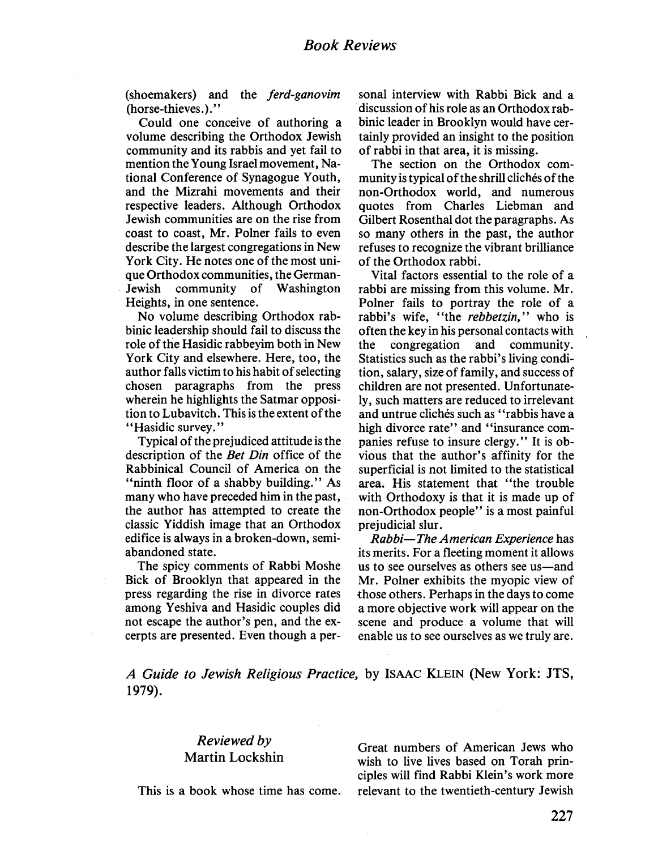(shoemakers) and the ferd-ganovim (horse-thieves.)."

Could one conceive of authoring a volume describing the Orthodox Jewish community and its rabbis and yet fail to mention the Young Israel movement, National Conference of Synagogue Youth, and the Mizrahi movements and their respective leaders. Although Orthodox Jewish communities are on the rise from coast to coast, Mr. Polner fails to even describe the largest congregations in New York City. He notes one of the most unique Orthodox communities, the German-Jewish community of Washington Heights, in one sentence.

No volume describing Orthodox rabbinic leadership should fail to discuss the role of the Hasidic rabbeyim both in New York City and elsewhere. Here, too, the author falls victim to his habit of selecting chosen paragraphs from the press wherein he highlights the Satmar opposition to Lubavitch. This is the extent of the "Hasidic survey."

Typical of the prejudiced attitude is the description of the *Bet Din* office of the Rabbinical Council of America on the "ninth floor of a shabby building." As many who have preceded him in the past, the author has attempted to create the classic Yiddish image that an Orthodox edifice is always in a broken-down, semiabandoned state.

The spicy comments of Rabbi Moshe Bick of Brooklyn that appeared in the press regarding the rise in divorce rates among Yeshiva and Hasidic couples did not escape the author's pen, and the excerpts are presented. Even though a personal interview with Rabbi Bick and a discussion of his role as an Orthodox rabbinic leader in Brooklyn would have certainly provided an insight to the position of rabbi in that area, it is missing.

The section on the Orthodox community is typical of the shrill clichés of the non-Orthodox world, and numerous quotes from Charles Liebman and Gilbert Rosenthal dot the paragraphs. As so many others in the past, the author refuses to recognize the vibrant briliance of the Orthodox rabbi.

Vital factors essential to the role of a rabbi are missing from this volume. Mr. Polner fails to portray the role of a rabbi's wife, "the rebbetzin," who is often the key in his personal contacts with the congregation and community. Statistics such as the rabbi's living condition, salary, size of family, and success of children are not presented. Unfortunately, such matters are reduced to irrelevant and untrue clichés such as "rabbis have a high divorce rate" and "insurance companies refuse to insure clergy." It is obvious that the author's affinity for the superficial is not limited to the statistical area. His statement that "the trouble with Orthodoxy is that it is made up of non-Orthodox people" is a most painful prejudicial slur.

Rabbi-The American Experience has its merits. For a fleeting moment it allows us to see ourselves as others see us-and Mr. Polner exhibits the myopic view of those others. Perhaps in the days to come a more objective work will appear on the scene and produce a volume that wil enable us to see ourselves as we truly are.

A Guide to Jewish Religious Practice, by ISAAC KLEIN (New York: JTS, 1979).

### Reviewed by Martin Lockshin

This is a book whose time has come.

Great numbers of American Jews who wish to live lives based on Torah principles wil find Rabbi Klein's work more relevant to the twentieth-century Jewish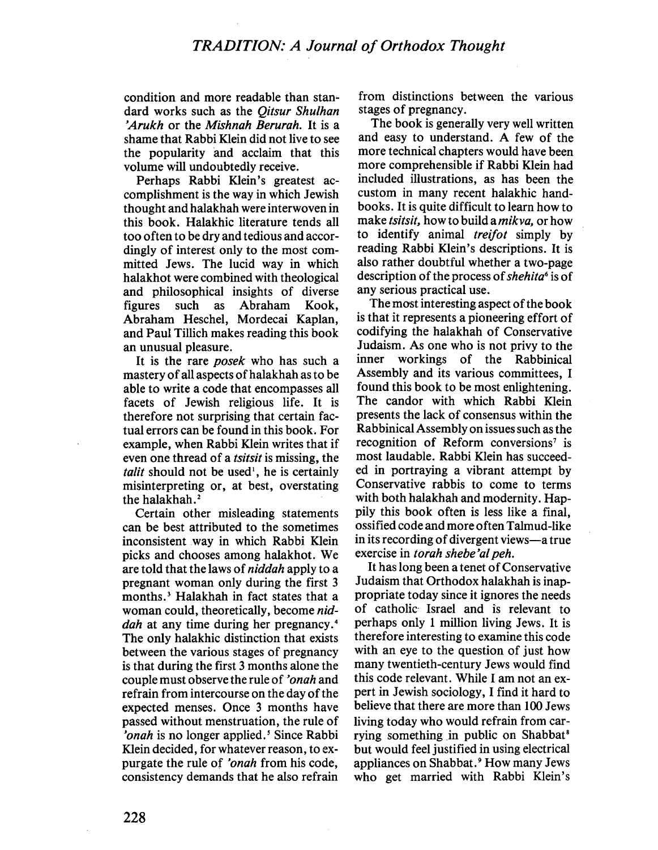condition and more readable than standard works such as the Oitsur Shulhan 'Arukh or the Mishnah Berurah. It is a shame that Rabbi Klein did not live to see the popularity and acclaim that this volume will undoubtedly receive.

Perhaps Rabbi Klein's greatest accomplishment is the way in which Jewish thought and halakhah were interwoven in this book. Halakhic literature tends all too often to be dry and tedious and accordingly of interest only to the most committed Jews. The lucid way in which halakhot were combined with theological and philosophical insights of diverse figures such as Abraham Kook, Abraham Heschel, Mordecai Kaplan, and Paul Tilich makes reading this book an unusual pleasure.

It is the rare *posek* who has such a mastery of all aspects of halakhah as to be able to write a code that encompasses all facets of Jewish religious life. It is therefore not surprising that certain factual errors can be found in this book. For example, when Rabbi Klein writes that if even one thread of a tsitsit is missing, the talit should not be used<sup> $\iota$ </sup>, he is certainly misinterpreting or, at best, overstating the halakhah.'

Certain other misleading statements can be best attributed to the sometimes inconsistent way in which Rabbi Klein picks and chooses among halakhot. We are told that the laws of niddah apply to a pregnant woman only during the first 3 months.' Halakhah in fact states that a woman could, theoretically, become niddah at any time during her pregnancy.<sup>4</sup> The only halakhic distinction that exists between the various stages of pregnancy is that during the first 3 months alone the couple must observe the rule of 'onah and refrain from intercourse on the day of the expected menses. Once 3 months have passed without menstruation, the rule of 'onah is no longer applied.' Since Rabbi Klein decided, for whatever reason, to expurgate the rule of 'onah from his code, consistency demands that he also refrain

from distinctions between the various stages of pregnancy.

The book is generally very well written and easy to understand. A few of the more technical chapters would have been more comprehensible if Rabbi Klein had included ilustrations, as has been the custom in many recent halakhic handbooks. It is quite difficult to learn how to make *tsitsit*, how to build a *mikva*, or how to identify animal *treifot* simply by reading Rabbi Klein's descriptions. It is also rather doubtful whether a two-page description of the process of shehita<sup>6</sup> is of any serious practical use.

The most interesting aspect of the book is that it represents a pioneering effort of codifying the halakhah of Conservative Judaism. As one who is not privy to the inner workings of the Rabbinical Assembly and its various committees, I found this book to be most enlightening. The candor with which Rabbi Klein presents the lack of consensus within the Rabbinical Assembly on issues such as the recognition of Reform conversions<sup>7</sup> is most laudable. Rabbi Klein has succeeded in portraying a vibrant attempt by Conservative rabbis to come to terms with both halakhah and modernity. Happily this book often is less like a final, ossified code and more often Talmud-like in its recording of divergent views-a true exercise in *torah shebe'al peh*.

It has long been a tenet of Conservative Judaism that Orthodox halakhah is inappropriate today since it ignores the needs of catholic Israel and is relevant to perhaps only i milion living Jews. It is therefore interesting to examine this code with an eye to the question of just how many twentieth-century Jews would find this code relevant. While I am not an expert in Jewish sociology, I find it hard to believe that there are more than 100 Jews living today who would refrain from carrying something in public on Shabbat but would feel justified in using electrical appliances on Shabbat.<sup>9</sup> How many Jews who get married with Rabbi Klein's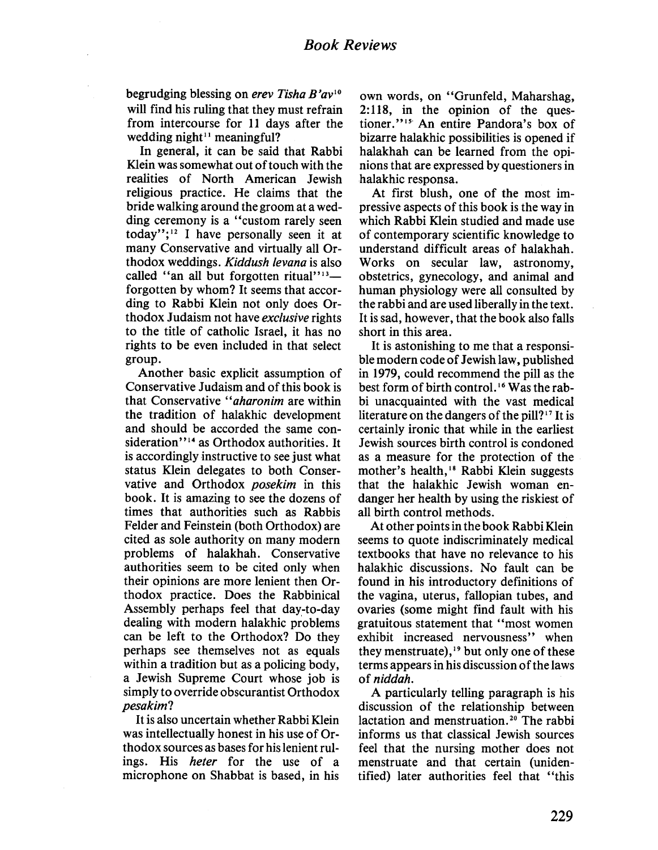begrudging blessing on erev Tisha B'av<sup>10</sup> will find his ruling that they must refrain from intercourse for 11 days after the wedding night<sup> $11$ </sup> meaningful?

In general, it can be said that Rabbi Klein was somewhat out of touch with the realities of North American Jewish religious practice. He claims that the bride walking around the groom at a wedding ceremony is a "custom rarely seen today"; $12$  I have personally seen it at many Conservative and virtually all Orthodox weddings. Kiddush levana is also called "an all but forgotten ritual" $13$ forgotten by whom? It seems that according to Rabbi Klein not only does Orthodox Judaism not have exclusive rights to the title of catholic Israel, it has no rights to be even included in that select group.

Another basic explicit assumption of Conservative Judaism and of this book is that Conservative "aharonim are within the tradition of halakhic development and should be accorded the same consideration"<sup>14</sup> as Orthodox authorities. It is accordingly instructive to see just what status Klein delegates to both Conservative and Orthodox posekim in this book. It is amazing to see the dozens of times that authorities such as Rabbis Felder and Feinstein (both Orthodox) are cited as sole authority on many modern problems of halakhah. Conservative authorities seem to be cited only when their opinions are more lenient then Orthodox practice. Does the Rabbinical Assembly perhaps feel that day-to-day dealing with modern halakhic problems can be left to the Orthodox? Do they perhaps see themselves not as equals within a tradition but as a policing body, a Jewish Supreme Court whose job is simply to override obscurantist Orthodox pesakim?

It is also uncertain whether Rabbi Klein was intellectually honest in his use of Orthodox sources as bases for his lenient rulings. His heter for the use of a microphone on Shabbat is based, in his own words, on "Grunfeld, Maharshag, 2: 118, in the opinion of the questioner."<sup>15</sup> An entire Pandora's box of bizarre halakhic possibilties is opened if halakhah can be learned from the opinions that are expressed by questioners in halakhic responsa.

At first blush, one of the most impressive aspects of this book is the way in which Rabbi Klein studied and made use of contemporary scientific knowledge to understand difficult areas of halakhah. Works on secular law, astronomy, obstetrics, gynecology, and animal and human physiology were all consulted by the rabbi and are used liberally in the text. It is sad, however, that the book also falls short in this area.

It is astonishing to me that a responsible modern code of Jewish law, published in 1979, could recommend the pil as the best form of birth control.<sup>16</sup> Was the rabbi unacquainted with the vast medical literature on the dangers of the pill?<sup>17</sup> It is certainly ironic that while in the earliest Jewish sources birth control is condoned as a measure for the protection of the mother's health,<sup>18</sup> Rabbi Klein suggests that the halakhic Jewish woman endanger her health by using the riskiest of all birth control methods.

At other points in the book Rabbi Klein seems to quote indiscriminately medical textbooks that have no relevance to his halakhic discussions. No fault can be found in his introductory definitions of the vagina, uterus, fallopian tubes, and ovaries (some might find fault with his gratuitous statement that "most women exhibit increased nervousness" when they menstruate),<sup>19</sup> but only one of these terms appears in his discussion of the laws of niddah.

A particularly tellng paragraph is his discussion of the relationship between lactation and menstruation.<sup>20</sup> The rabbi informs us that classical Jewish sources feel that the nursing mother does not menstruate and that certain (unidentified) later authorities feel that "this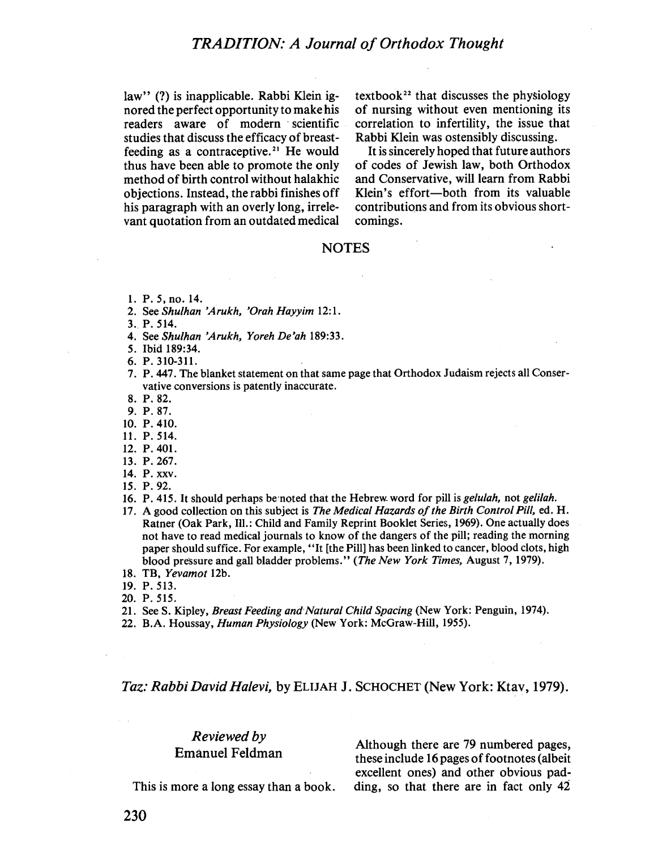law" (?) is inapplicable. Rabbi Klein ignored the perfect opportunity to make his readers aware of modern scientific studies that discuss the efficacy of breastfeeding as a contraceptive.<sup>21</sup> He would thus have been able to promote the only method of birth control without halakhic objections. Instead, the rabbi finishes off his paragraph with an overly long, irrelevant quotation from an outdated medical textbook<sup>22</sup> that discusses the physiology of nursing without even mentioning its correlation to infertility, the issue that Rabbi Klein was ostensibly discussing.

It is sincerely hoped that future authors of codes of Jewish law, both Orthodox and Conservative, will learn from Rabbi Klein's effort-both from its valuable contributions and from its obvious shortcomings.

#### **NOTES**

- 1. P. 5, no. 14.
- 2. See Shulhan 'Arukh, 'Orah Hayyim 12:1.
- 3.. P. 514.
- 4. See Shulhan 'Arukh, Yoreh De'ah 189:33.
- 5. Ibid 189:34.

6. P.31O-311.

- 7. P. 447. The blanket statement on that same page that Orthodox Judaism rejects all Conservative conversions is patently inaccurate.
- 8. P.82.
- 9. P.87.
- 10. P. 410.
- 11. P.5t4.
- 12. P.401.
- 13. P.267.
- 14. P. xxv.
- 15. P.92.
- 16. P. 415. It should perhaps be noted that the Hebrew word for pill is *gelulah*, not *gelilah*.
- 17. A good collection on this subject is The Medical Hazards of the Birth Control Pill, ed. H. Ratner (Oak Park, Il.: Child and Family Reprint Booklet Series, 1969). One actually does not have to read medical journals to know of the dangers of the pill: reading the morning paper should suffice. For example, "It (the Pil) has been linked to cancer, blood clots, high blood pressure and gall bladder problems." (The New York Times, August 7, 1979).
- 18. TB, Yevamot 12b.
- 19. P.513.
- 20. P.515.
- 21. See S. Kipley, Breast Feeding and Natural Child Spacing (New York: Penguin, 1974).
- 22. B.A. Houssay, *Human Physiology* (New York: McGraw-Hill, 1955).

#### Taz: Rabbi David Halevi, by ELIJAH J. SCHOCHET (New York: Ktav, 1979).

#### Reviewed by Emanuel Feldman

Although there are 79 numbered pages, these include 16 pages of footnotes (albeit excellent ones) and other obvious padding, so that there are in fact only  $42$ 

This is more a long essay than a book.